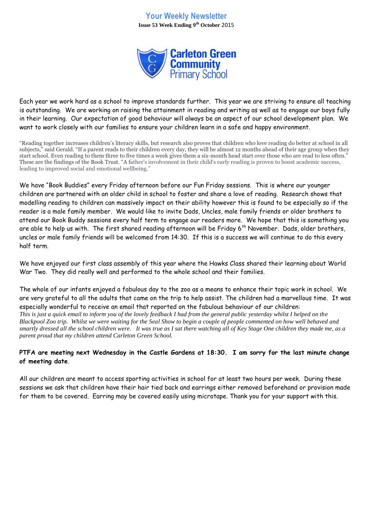# **Your Weekly Newsletter Issue 53 Week Ending 9th October** 2015



Each year we work hard as a school to improve standards further. This year we are striving to ensure all teaching is outstanding. We are working on raising the attainment in reading and writing as well as to engage our boys fully in their learning. Our expectation of good behaviour will always be an aspect of our school development plan. We want to work closely with our families to ensure your children learn in a safe and happy environment.

"Reading together increases children's literacy skills, but research also proves that children who love reading do better at school in all subjects," said Gerald. "If a parent reads to their children every day, they will be almost 12 months ahead of their age group when they start school. Even reading to them three to five times a week gives them a six-month head start over those who are read to less often." These are the findings of the Book Trust. "A father's involvement in their child's early reading is proven to boost academic success, leading to improved social and emotional wellbeing."

We have "Book Buddies" every Friday afternoon before our Fun Friday sessions. This is where our younger children are partnered with an older child in school to foster and share a love of reading. Research shows that modelling reading to children can massively impact on their ability however this is found to be especially so if the reader is a male family member. We would like to invite Dads, Uncles, male family friends or older brothers to attend our Book Buddy sessions every half term to engage our readers more. We hope that this is something you are able to help us with. The first shared reading afternoon will be Friday 6<sup>th</sup> November. Dads, older brothers, uncles or male family friends will be welcomed from 14:30. If this is a success we will continue to do this every half term.

We have enjoyed our first class assembly of this year where the Hawks Class shared their learning about World War Two. They did really well and performed to the whole school and their families.

The whole of our infants enjoyed a fabulous day to the zoo as a means to enhance their topic work in school. We are very grateful to all the adults that came on the trip to help assist. The children had a marvellous time. It was especially wonderful to receive an email that reported on the fabulous behaviour of our children: *This is just a quick email to inform you of the lovely feedback I had from the general public yesterday whilst I helped on the Blackpool Zoo trip. Whilst we were waiting for the Seal Show to begin a couple of people commented on how well behaved and smartly dressed all the school children were. It was true as I sat there watching all of Key Stage One children they made me, as a parent proud that my children attend Carleton Green School.*

## **PTFA are meeting next Wednesday in the Castle Gardens at 18:30. I am sorry for the last minute change of meeting date**.

All our children are meant to access sporting activities in school for at least two hours per week. During these sessions we ask that children have their hair tied back and earrings either removed beforehand or provision made for them to be covered. Earring may be covered easily using microtape. Thank you for your support with this.